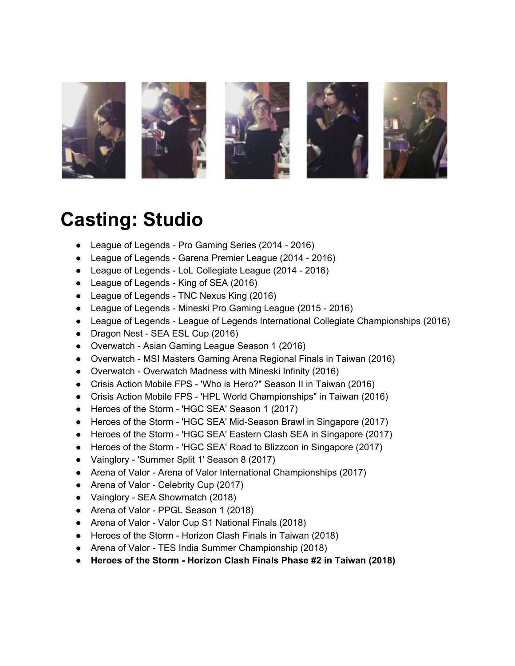

### **Casting: Studio**

- League of Legends Pro Gaming Series (2014 2016)
- League of Legends Garena Premier League (2014 2016)
- League of Legends LoL Collegiate League (2014 2016)
- League of Legends King of SEA (2016)
- League of Legends TNC Nexus King (2016)
- League of Legends Mineski Pro Gaming League (2015 2016)
- League of Legends League of Legends International Collegiate Championships (2016)
- Dragon Nest SEA ESL Cup (2016)
- Overwatch Asian Gaming League Season 1 (2016)
- Overwatch MSI Masters Gaming Arena Regional Finals in Taiwan (2016)
- Overwatch Overwatch Madness with Mineski Infinity (2016)
- Crisis Action Mobile FPS 'Who is Hero?" Season II in Taiwan (2016)
- Crisis Action Mobile FPS 'HPL World Championships" in Taiwan (2016)
- Heroes of the Storm 'HGC SEA' Season 1 (2017)
- Heroes of the Storm 'HGC SEA' Mid-Season Brawl in Singapore (2017)
- Heroes of the Storm 'HGC SEA' Eastern Clash SEA in Singapore (2017)
- Heroes of the Storm 'HGC SEA' Road to Blizzcon in Singapore (2017)
- Vainglory 'Summer Split 1' Season 8 (2017)
- Arena of Valor Arena of Valor International Championships (2017)
- Arena of Valor Celebrity Cup (2017)
- Vainglory SEA Showmatch (2018)
- Arena of Valor PPGL Season 1 (2018)
- Arena of Valor Valor Cup S1 National Finals (2018)
- Heroes of the Storm Horizon Clash Finals in Taiwan (2018)
- Arena of Valor TES India Summer Championship (2018)
- **● Heroes of the Storm - Horizon Clash Finals Phase #2 in Taiwan (2018)**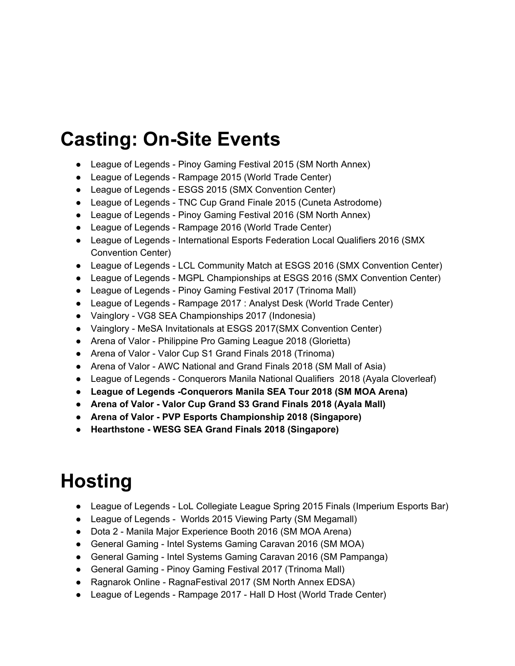## **Casting: On-Site Events**

- League of Legends Pinoy Gaming Festival 2015 (SM North Annex)
- League of Legends Rampage 2015 (World Trade Center)
- League of Legends ESGS 2015 (SMX Convention Center)
- League of Legends TNC Cup Grand Finale 2015 (Cuneta Astrodome)
- League of Legends Pinoy Gaming Festival 2016 (SM North Annex)
- League of Legends Rampage 2016 (World Trade Center)
- League of Legends International Esports Federation Local Qualifiers 2016 (SMX Convention Center)
- League of Legends LCL Community Match at ESGS 2016 (SMX Convention Center)
- League of Legends MGPL Championships at ESGS 2016 (SMX Convention Center)
- League of Legends Pinoy Gaming Festival 2017 (Trinoma Mall)
- League of Legends Rampage 2017 : Analyst Desk (World Trade Center)
- Vainglory VG8 SEA Championships 2017 (Indonesia)
- Vainglory MeSA Invitationals at ESGS 2017(SMX Convention Center)
- Arena of Valor Philippine Pro Gaming League 2018 (Glorietta)
- Arena of Valor Valor Cup S1 Grand Finals 2018 (Trinoma)
- Arena of Valor AWC National and Grand Finals 2018 (SM Mall of Asia)
- League of Legends Conquerors Manila National Qualifiers 2018 (Ayala Cloverleaf)
- **● League of Legends -Conquerors Manila SEA Tour 2018 (SM MOA Arena)**
- **● Arena of Valor - Valor Cup Grand S3 Grand Finals 2018 (Ayala Mall)**
- **● Arena of Valor - PVP Esports Championship 2018 (Singapore)**
- **● Hearthstone - WESG SEA Grand Finals 2018 (Singapore)**

# **Hosting**

- League of Legends LoL Collegiate League Spring 2015 Finals (Imperium Esports Bar)
- League of Legends Worlds 2015 Viewing Party (SM Megamall)
- Dota 2 Manila Major Experience Booth 2016 (SM MOA Arena)
- General Gaming Intel Systems Gaming Caravan 2016 (SM MOA)
- General Gaming Intel Systems Gaming Caravan 2016 (SM Pampanga)
- General Gaming Pinoy Gaming Festival 2017 (Trinoma Mall)
- Ragnarok Online RagnaFestival 2017 (SM North Annex EDSA)
- League of Legends Rampage 2017 Hall D Host (World Trade Center)